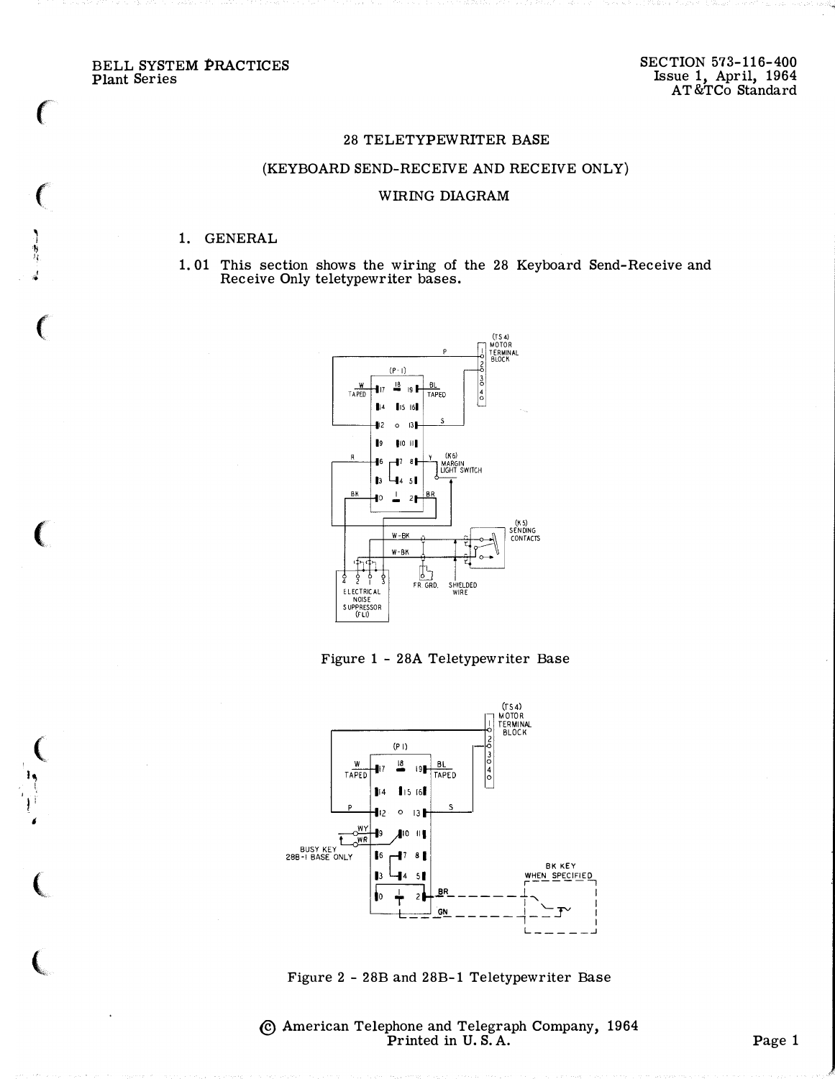BELL SYSTEM PRACTICES **Plant Series** 

 $\big($ 

 $\big($ 

֡֡֕׀֡<br>֞֞֞

## 28 TELETYPEWRITER BASE

## (KEYBOARD SEND-RECEIVE AND RECEIVE ONLY)

## WIRING DIAGRAM

## 1. GENERAL

1.01 This section shows the wiring of the 28 Keyboard Send-Receive and Receive Only teletypewriter bases.



Figure 1 - 28A Teletypewriter Base



Figure 2 - 28B and 28B-1 Teletypewriter Base

© American Telephone and Telegraph Company, 1964 Printed in U.S.A.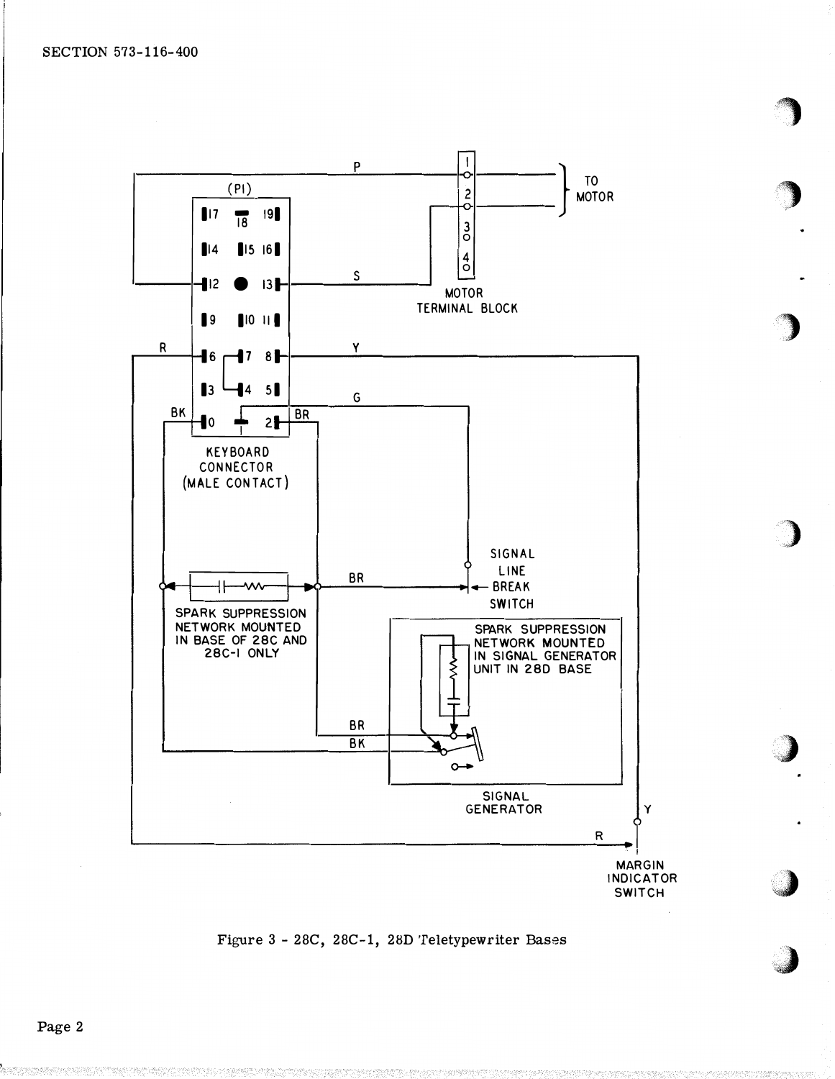

Figure 3 - 28C, 28C-1, 28D Teletypewriter Bases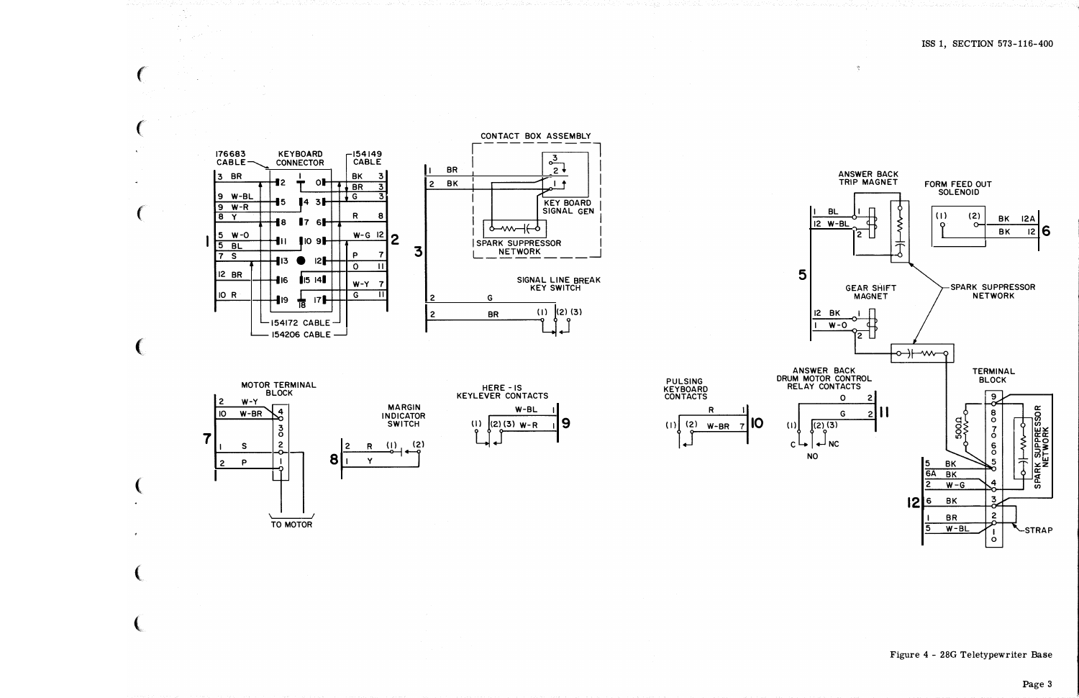







**PULSING** 

KEYBOARD<br>CONTACTS

R



 $\mathcal{R}$ 

Figure 4 - 28G Teletypewriter Base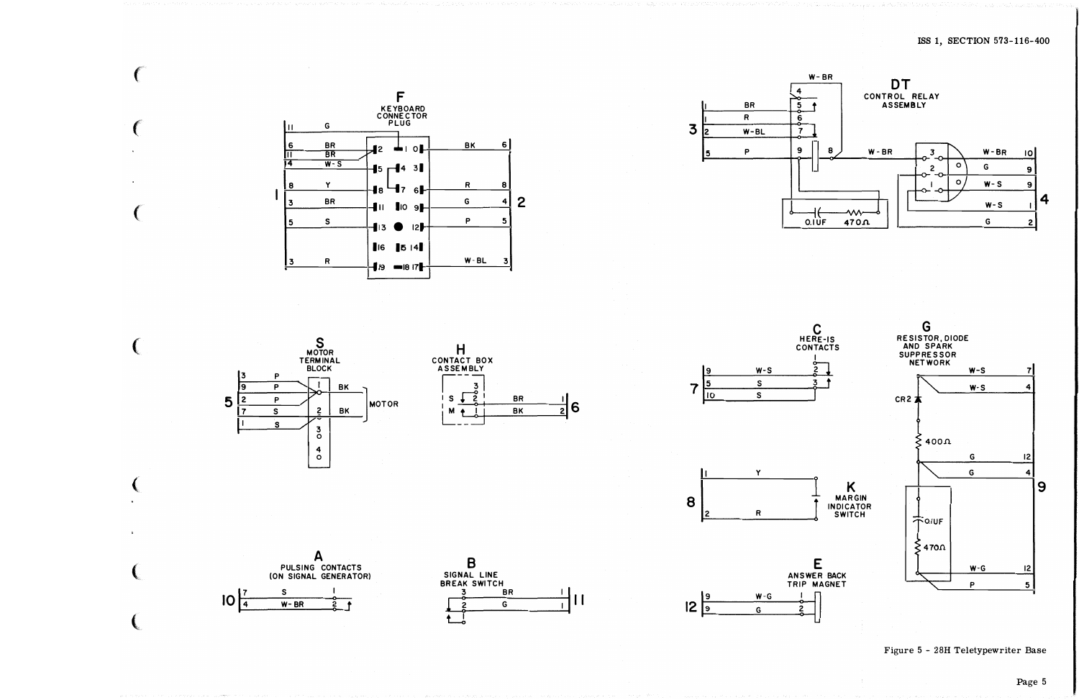









6



 $W - G$ 

G

 $\mathbf{19}$ 

 $12\overline{9}$ 

ANSWER BACK TRIP MAGNET

2



Figure 5 - 28H Teletypewriter Base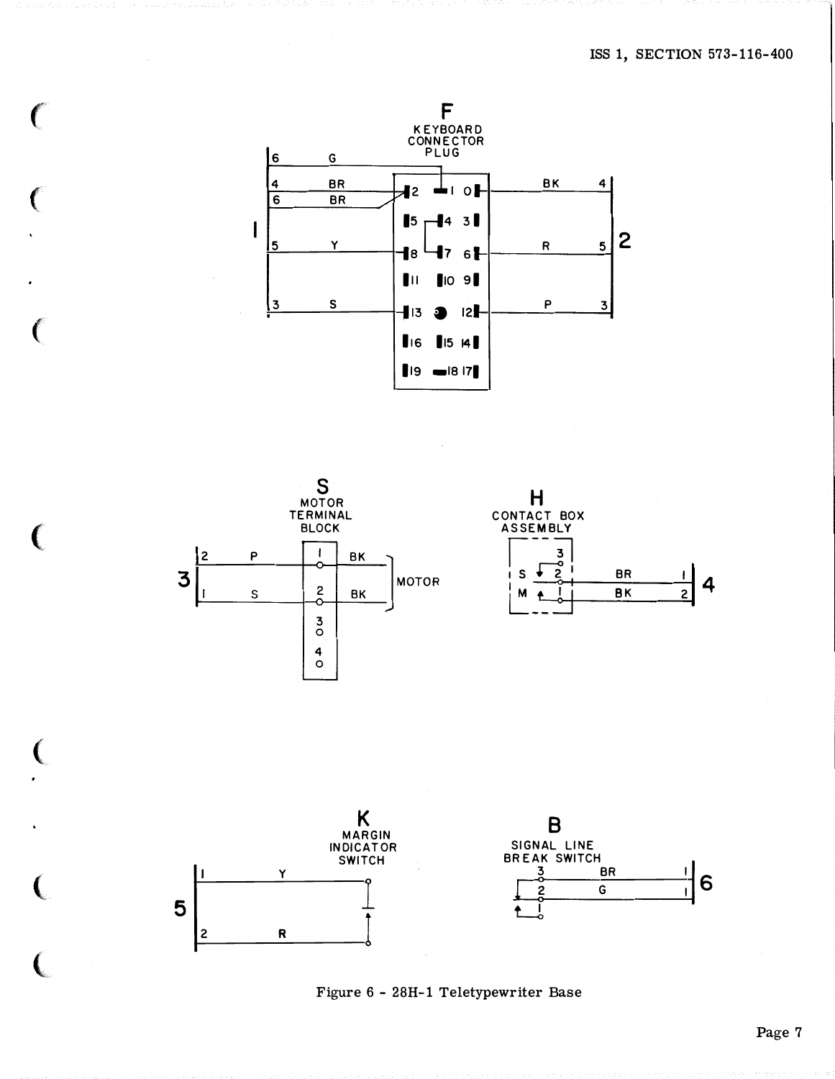

 $\overline{\phantom{a}}$ 



 $\epsilon$ 

ſ

Ĉ

 $\left($ 





Figure 6 - 28H-1 Teletypewriter Base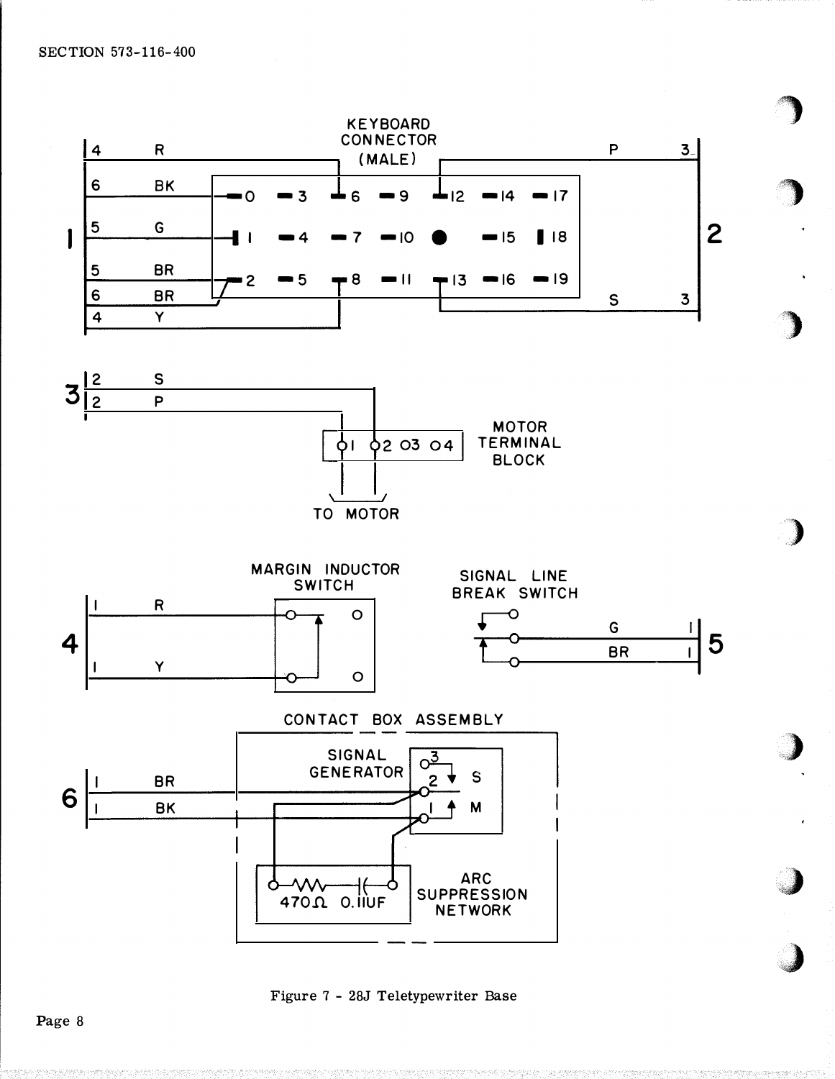

Figure 7 - 28J Teletypewriter Base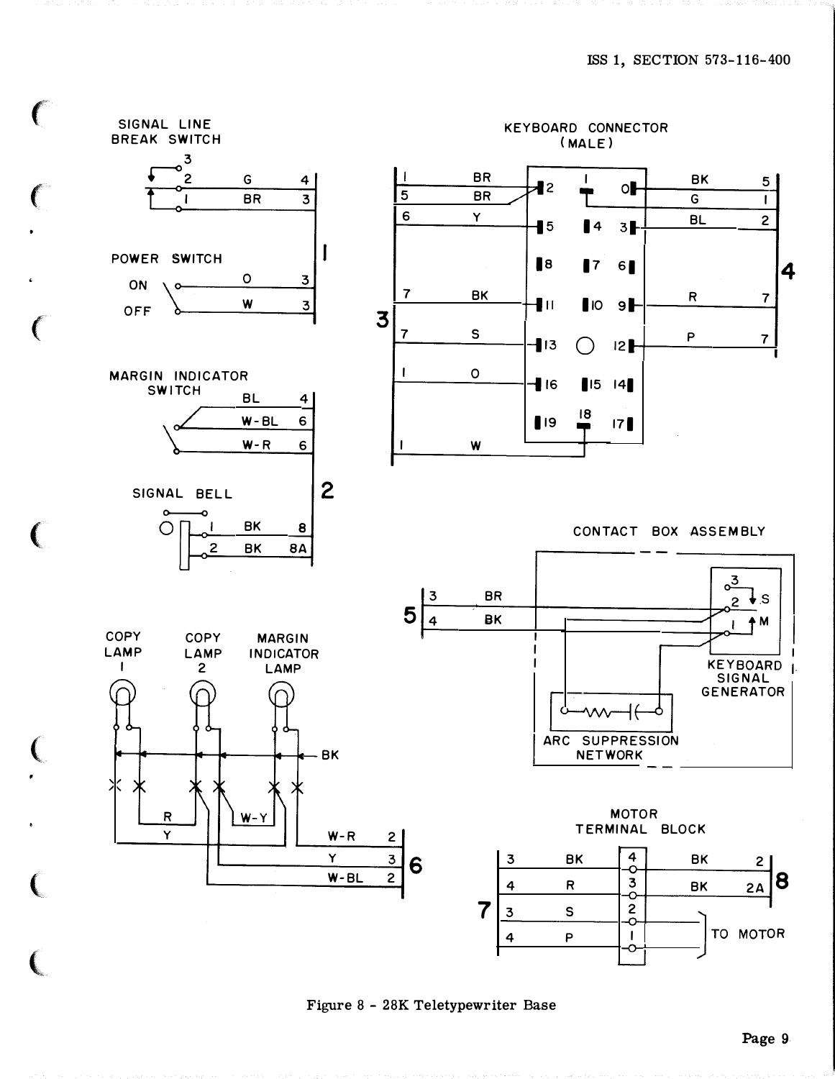

Figure 8 - 28K Teletypewriter Base